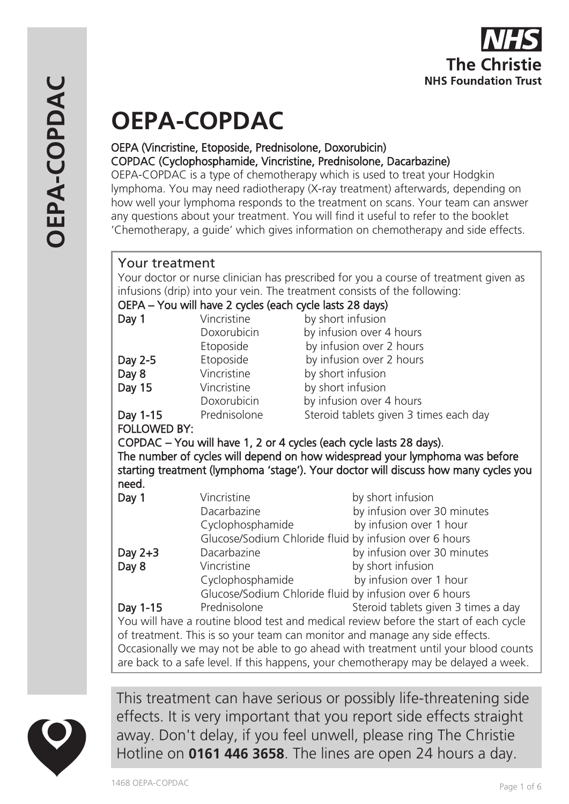# **OEPA-COPDAC**

#### OEPA (Vincristine, Etoposide, Prednisolone, Doxorubicin) COPDAC (Cyclophosphamide, Vincristine, Prednisolone, Dacarbazine)

OEPA-COPDAC is a type of chemotherapy which is used to treat your Hodgkin lymphoma. You may need radiotherapy (X-ray treatment) afterwards, depending on how well your lymphoma responds to the treatment on scans. Your team can answer any questions about your treatment. You will find it useful to refer to the booklet 'Chemotherapy, a guide' which gives information on chemotherapy and side effects.

# Your treatment

Your doctor or nurse clinician has prescribed for you a course of treatment given as infusions (drip) into your vein. The treatment consists of the following:

| OEPA – You will have 2 cycles (each cycle lasts 28 days)                            |                  |                                        |  |
|-------------------------------------------------------------------------------------|------------------|----------------------------------------|--|
| Day 1                                                                               | Vincristine      | by short infusion                      |  |
|                                                                                     | Doxorubicin      | by infusion over 4 hours               |  |
|                                                                                     | Etoposide        | by infusion over 2 hours               |  |
| Day 2-5                                                                             | Etoposide        | by infusion over 2 hours               |  |
| Day 8                                                                               | Vincristine      | by short infusion                      |  |
| Day 15                                                                              | Vincristine      | by short infusion                      |  |
|                                                                                     | Doxorubicin      | by infusion over 4 hours               |  |
| Day 1-15                                                                            | Prednisolone     | Steroid tablets given 3 times each day |  |
| <b>FOLLOWED BY:</b>                                                                 |                  |                                        |  |
| COPDAC – You will have 1, 2 or 4 cycles (each cycle lasts 28 days).                 |                  |                                        |  |
| The number of cycles will depend on how widespread your lymphoma was before         |                  |                                        |  |
| starting treatment (lymphoma 'stage'). Your doctor will discuss how many cycles you |                  |                                        |  |
| need.                                                                               |                  |                                        |  |
| Day 1                                                                               | Vincristine      | by short infusion                      |  |
|                                                                                     | Dacarbazine      | by infusion over 30 minutes            |  |
|                                                                                     | Cyclophosphamide | by infusion over 1 hour                |  |
| Glucose/Sodium Chloride fluid by infusion over 6 hours                              |                  |                                        |  |

 Glucose/Sodium Chloride fluid by infusion over 6 hours Day 2+3 Dacarbazine by infusion over 30 minutes Day 8 Vincristine by short infusion Cyclophosphamide by infusion over 1 hour Glucose/Sodium Chloride fluid by infusion over 6 hours **Day 1-15** Prednisolone Steroid tablets given 3 times a day You will have a routine blood test and medical review before the start of each cycle of treatment. This is so your team can monitor and manage any side effects. Occasionally we may not be able to go ahead with treatment until your blood counts are back to a safe level. If this happens, your chemotherapy may be delayed a week.



This treatment can have serious or possibly life-threatening side effects. It is very important that you report side effects straight away. Don't delay, if you feel unwell, please ring The Christie Hotline on **0161 446 3658**. The lines are open 24 hours a day.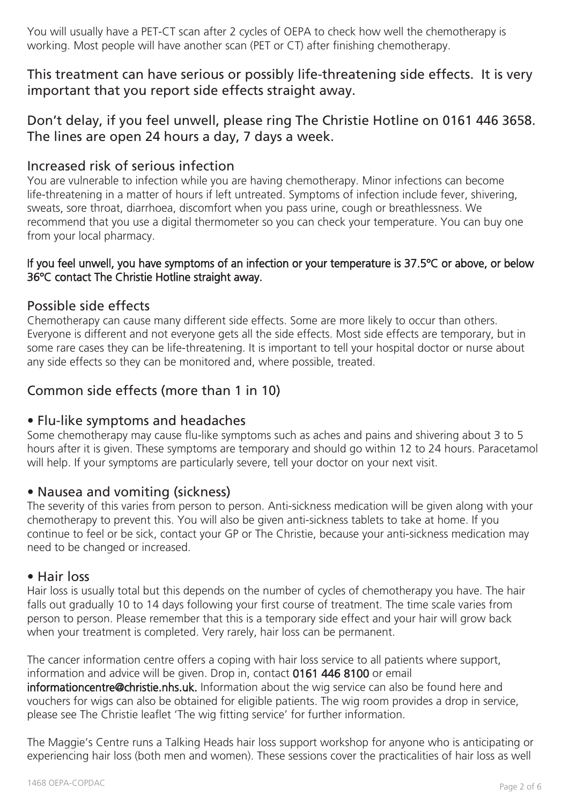You will usually have a PET-CT scan after 2 cycles of OEPA to check how well the chemotherapy is working. Most people will have another scan (PET or CT) after finishing chemotherapy.

This treatment can have serious or possibly life-threatening side effects. It is very important that you report side effects straight away.

# Don't delay, if you feel unwell, please ring The Christie Hotline on 0161 446 3658. The lines are open 24 hours a day, 7 days a week.

## Increased risk of serious infection

You are vulnerable to infection while you are having chemotherapy. Minor infections can become life-threatening in a matter of hours if left untreated. Symptoms of infection include fever, shivering, sweats, sore throat, diarrhoea, discomfort when you pass urine, cough or breathlessness. We recommend that you use a digital thermometer so you can check your temperature. You can buy one from your local pharmacy.

#### If you feel unwell, you have symptoms of an infection or your temperature is 37.5ºC or above, or below 36ºC contact The Christie Hotline straight away.

## Possible side effects

Chemotherapy can cause many different side effects. Some are more likely to occur than others. Everyone is different and not everyone gets all the side effects. Most side effects are temporary, but in some rare cases they can be life-threatening. It is important to tell your hospital doctor or nurse about any side effects so they can be monitored and, where possible, treated.

# Common side effects (more than 1 in 10)

## • Flu-like symptoms and headaches

Some chemotherapy may cause flu-like symptoms such as aches and pains and shivering about 3 to 5 hours after it is given. These symptoms are temporary and should go within 12 to 24 hours. Paracetamol will help. If your symptoms are particularly severe, tell your doctor on your next visit.

## • Nausea and vomiting (sickness)

The severity of this varies from person to person. Anti-sickness medication will be given along with your chemotherapy to prevent this. You will also be given anti-sickness tablets to take at home. If you continue to feel or be sick, contact your GP or The Christie, because your anti-sickness medication may need to be changed or increased.

#### • Hair loss

Hair loss is usually total but this depends on the number of cycles of chemotherapy you have. The hair falls out gradually 10 to 14 days following your first course of treatment. The time scale varies from person to person. Please remember that this is a temporary side effect and your hair will grow back when your treatment is completed. Very rarely, hair loss can be permanent.

The cancer information centre offers a coping with hair loss service to all patients where support, information and advice will be given. Drop in, contact 0161 446 8100 or email informationcentre@christie.nhs.uk. Information about the wig service can also be found here and vouchers for wigs can also be obtained for eligible patients. The wig room provides a drop in service, please see The Christie leaflet 'The wig fitting service' for further information.

The Maggie's Centre runs a Talking Heads hair loss support workshop for anyone who is anticipating or experiencing hair loss (both men and women). These sessions cover the practicalities of hair loss as well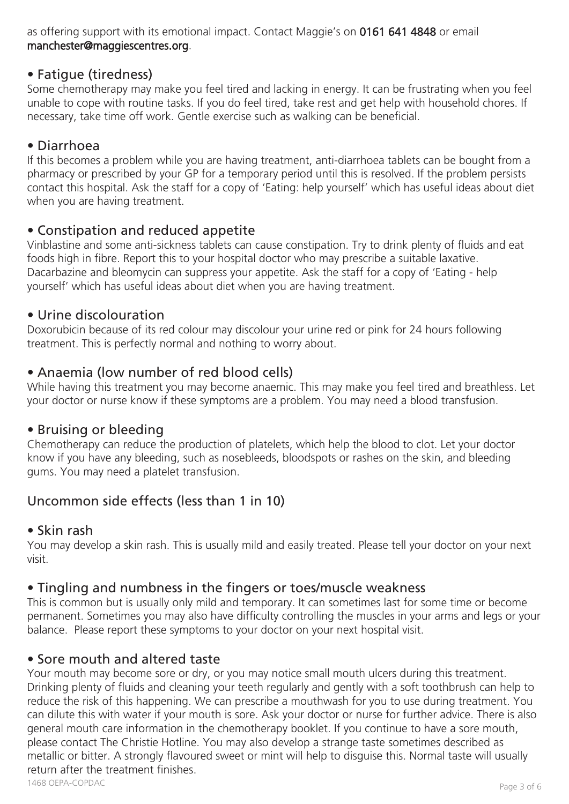as offering support with its emotional impact. Contact Maggie's on 0161 641 4848 or email manchester@maggiescentres.org.

## • Fatigue (tiredness)

Some chemotherapy may make you feel tired and lacking in energy. It can be frustrating when you feel unable to cope with routine tasks. If you do feel tired, take rest and get help with household chores. If necessary, take time off work. Gentle exercise such as walking can be beneficial.

# • Diarrhoea

If this becomes a problem while you are having treatment, anti-diarrhoea tablets can be bought from a pharmacy or prescribed by your GP for a temporary period until this is resolved. If the problem persists contact this hospital. Ask the staff for a copy of 'Eating: help yourself' which has useful ideas about diet when you are having treatment.

# • Constipation and reduced appetite

Vinblastine and some anti-sickness tablets can cause constipation. Try to drink plenty of fluids and eat foods high in fibre. Report this to your hospital doctor who may prescribe a suitable laxative. Dacarbazine and bleomycin can suppress your appetite. Ask the staff for a copy of 'Eating - help yourself' which has useful ideas about diet when you are having treatment.

## • Urine discolouration

Doxorubicin because of its red colour may discolour your urine red or pink for 24 hours following treatment. This is perfectly normal and nothing to worry about.

## • Anaemia (low number of red blood cells)

While having this treatment you may become anaemic. This may make you feel tired and breathless. Let your doctor or nurse know if these symptoms are a problem. You may need a blood transfusion.

## • Bruising or bleeding

Chemotherapy can reduce the production of platelets, which help the blood to clot. Let your doctor know if you have any bleeding, such as nosebleeds, bloodspots or rashes on the skin, and bleeding gums. You may need a platelet transfusion.

# Uncommon side effects (less than 1 in 10)

## • Skin rash

You may develop a skin rash. This is usually mild and easily treated. Please tell your doctor on your next visit.

## • Tingling and numbness in the fingers or toes/muscle weakness

This is common but is usually only mild and temporary. It can sometimes last for some time or become permanent. Sometimes you may also have difficulty controlling the muscles in your arms and legs or your balance. Please report these symptoms to your doctor on your next hospital visit.

## • Sore mouth and altered taste

Your mouth may become sore or dry, or you may notice small mouth ulcers during this treatment. Drinking plenty of fluids and cleaning your teeth regularly and gently with a soft toothbrush can help to reduce the risk of this happening. We can prescribe a mouthwash for you to use during treatment. You can dilute this with water if your mouth is sore. Ask your doctor or nurse for further advice. There is also general mouth care information in the chemotherapy booklet. If you continue to have a sore mouth, please contact The Christie Hotline. You may also develop a strange taste sometimes described as metallic or bitter. A strongly flavoured sweet or mint will help to disguise this. Normal taste will usually return after the treatment finishes.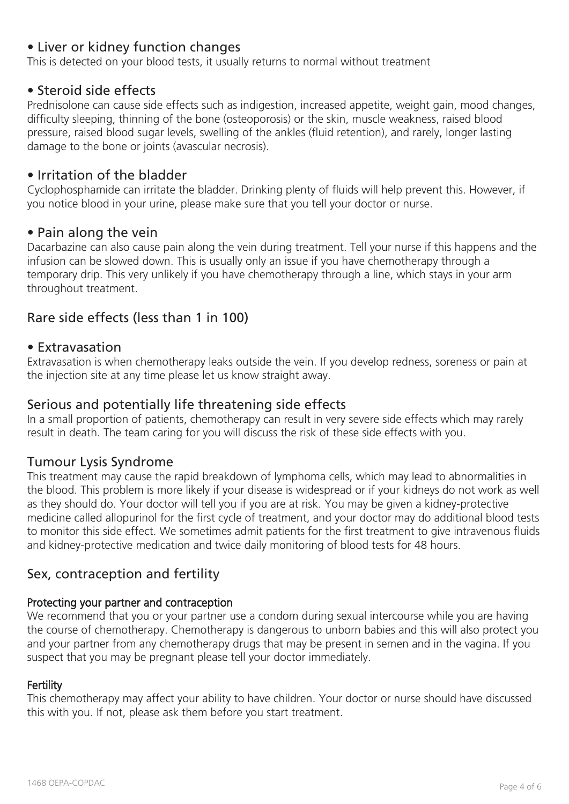## • Liver or kidney function changes

This is detected on your blood tests, it usually returns to normal without treatment

#### • Steroid side effects

Prednisolone can cause side effects such as indigestion, increased appetite, weight gain, mood changes, difficulty sleeping, thinning of the bone (osteoporosis) or the skin, muscle weakness, raised blood pressure, raised blood sugar levels, swelling of the ankles (fluid retention), and rarely, longer lasting damage to the bone or joints (avascular necrosis).

#### • Irritation of the bladder

Cyclophosphamide can irritate the bladder. Drinking plenty of fluids will help prevent this. However, if you notice blood in your urine, please make sure that you tell your doctor or nurse.

#### • Pain along the vein

Dacarbazine can also cause pain along the vein during treatment. Tell your nurse if this happens and the infusion can be slowed down. This is usually only an issue if you have chemotherapy through a temporary drip. This very unlikely if you have chemotherapy through a line, which stays in your arm throughout treatment.

## Rare side effects (less than 1 in 100)

#### • Extravasation

Extravasation is when chemotherapy leaks outside the vein. If you develop redness, soreness or pain at the injection site at any time please let us know straight away.

#### Serious and potentially life threatening side effects

In a small proportion of patients, chemotherapy can result in very severe side effects which may rarely result in death. The team caring for you will discuss the risk of these side effects with you.

#### Tumour Lysis Syndrome

This treatment may cause the rapid breakdown of lymphoma cells, which may lead to abnormalities in the blood. This problem is more likely if your disease is widespread or if your kidneys do not work as well as they should do. Your doctor will tell you if you are at risk. You may be given a kidney-protective medicine called allopurinol for the first cycle of treatment, and your doctor may do additional blood tests to monitor this side effect. We sometimes admit patients for the first treatment to give intravenous fluids and kidney-protective medication and twice daily monitoring of blood tests for 48 hours.

#### Sex, contraception and fertility

## Protecting your partner and contraception

We recommend that you or your partner use a condom during sexual intercourse while you are having the course of chemotherapy. Chemotherapy is dangerous to unborn babies and this will also protect you and your partner from any chemotherapy drugs that may be present in semen and in the vagina. If you suspect that you may be pregnant please tell your doctor immediately.

#### **Fertility**

This chemotherapy may affect your ability to have children. Your doctor or nurse should have discussed this with you. If not, please ask them before you start treatment.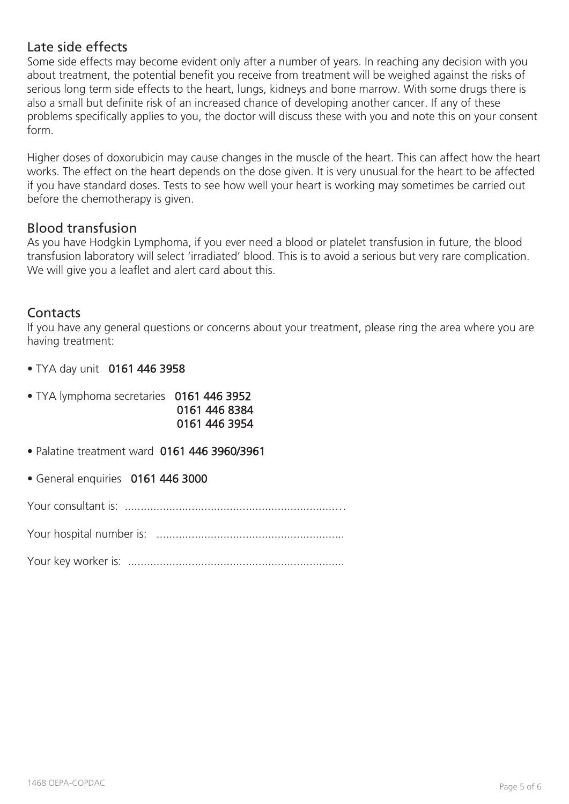## Late side effects

Some side effects may become evident only after a number of years. In reaching any decision with you about treatment, the potential benefit you receive from treatment will be weighed against the risks of serious long term side effects to the heart, lungs, kidneys and bone marrow. With some drugs there is also a small but definite risk of an increased chance of developing another cancer. If any of these problems specifically applies to you, the doctor will discuss these with you and note this on your consent form.

Higher doses of doxorubicin may cause changes in the muscle of the heart. This can affect how the heart works. The effect on the heart depends on the dose given. It is very unusual for the heart to be affected if you have standard doses. Tests to see how well your heart is working may sometimes be carried out before the chemotherapy is given.

#### Blood transfusion

As you have Hodgkin Lymphoma, if you ever need a blood or platelet transfusion in future, the blood transfusion laboratory will select 'irradiated' blood. This is to avoid a serious but very rare complication. We will give you a leaflet and alert card about this.

## **Contacts**

If you have any general questions or concerns about your treatment, please ring the area where you are having treatment:

• TYA day unit 0161 446 3958

| • TYA lymphoma secretaries 0161 446 3952 |               |
|------------------------------------------|---------------|
|                                          | 0161 446 8384 |
|                                          | 0161 446 3954 |

- Palatine treatment ward 0161 446 3960/3961
- General enquiries 0161 446 3000

Your consultant is: ..................................................................…

Your hospital number is: ...........................................................

Your key worker is: ....................................................................